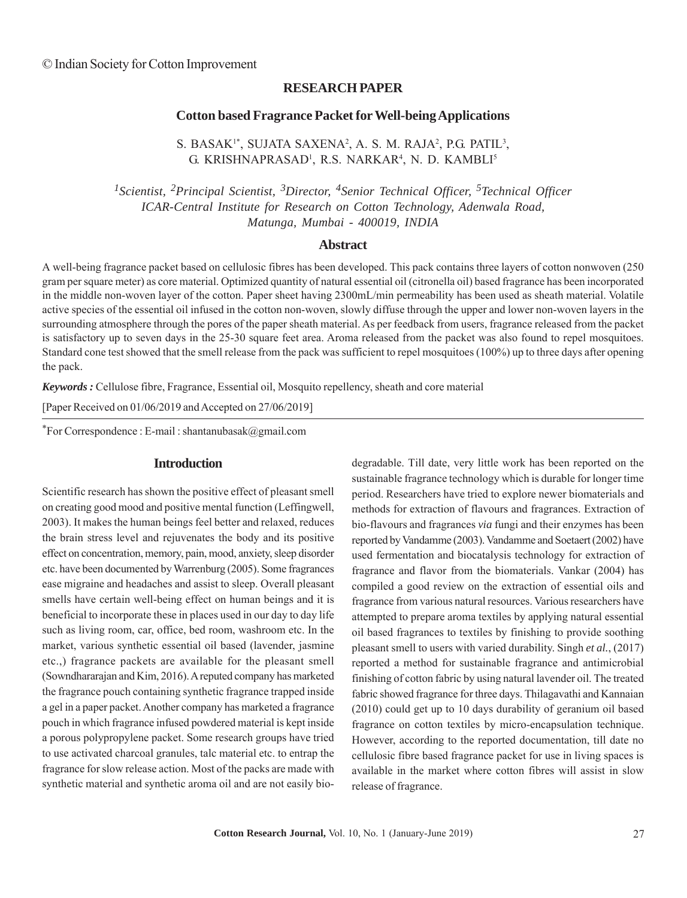## **RESEARCH PAPER**

## **Cotton based Fragrance Packet for Well-being Applications**

S. BASAK<sup>1\*</sup>, SUJATA SAXENA<sup>2</sup>, A. S. M. RAJA<sup>2</sup>, P.G. PATIL<sup>3</sup>, G. KRISHNAPRASAD<sup>1</sup>, R.S. NARKAR<sup>4</sup>, N. D. KAMBLI<sup>5</sup>

*1Scientist, 2Principal Scientist, 3Director, 4Senior Technical Officer, 5Technical Officer ICAR-Central Institute for Research on Cotton Technology, Adenwala Road, Matunga, Mumbai - 400019, INDIA*

#### **Abstract**

A well-being fragrance packet based on cellulosic fibres has been developed. This pack contains three layers of cotton nonwoven (250 gram per square meter) as core material. Optimized quantity of natural essential oil (citronella oil) based fragrance has been incorporated in the middle non-woven layer of the cotton. Paper sheet having 2300mL/min permeability has been used as sheath material. Volatile active species of the essential oil infused in the cotton non-woven, slowly diffuse through the upper and lower non-woven layers in the surrounding atmosphere through the pores of the paper sheath material. As per feedback from users, fragrance released from the packet is satisfactory up to seven days in the 25-30 square feet area. Aroma released from the packet was also found to repel mosquitoes. Standard cone test showed that the smell release from the pack was sufficient to repel mosquitoes (100%) up to three days after opening the pack.

*Keywords :* Cellulose fibre, Fragrance, Essential oil, Mosquito repellency, sheath and core material

[Paper Received on 01/06/2019 and Accepted on 27/06/2019]

\*For Correspondence : E-mail : shantanubasak@gmail.com

## **Introduction**

Scientific research has shown the positive effect of pleasant smell on creating good mood and positive mental function (Leffingwell, 2003). It makes the human beings feel better and relaxed, reduces the brain stress level and rejuvenates the body and its positive effect on concentration, memory, pain, mood, anxiety, sleep disorder etc. have been documented by Warrenburg (2005). Some fragrances ease migraine and headaches and assist to sleep. Overall pleasant smells have certain well-being effect on human beings and it is beneficial to incorporate these in places used in our day to day life such as living room, car, office, bed room, washroom etc. In the market, various synthetic essential oil based (lavender, jasmine etc.,) fragrance packets are available for the pleasant smell (Sowndhararajan and Kim, 2016). A reputed company has marketed the fragrance pouch containing synthetic fragrance trapped inside a gel in a paper packet. Another company has marketed a fragrance pouch in which fragrance infused powdered material is kept inside a porous polypropylene packet. Some research groups have tried to use activated charcoal granules, talc material etc. to entrap the fragrance for slow release action. Most of the packs are made with synthetic material and synthetic aroma oil and are not easily biodegradable. Till date, very little work has been reported on the sustainable fragrance technology which is durable for longer time period. Researchers have tried to explore newer biomaterials and methods for extraction of flavours and fragrances. Extraction of bio-flavours and fragrances *via* fungi and their enzymes has been reported by Vandamme (2003). Vandamme and Soetaert (2002) have used fermentation and biocatalysis technology for extraction of fragrance and flavor from the biomaterials. Vankar (2004) has compiled a good review on the extraction of essential oils and fragrance from various natural resources. Various researchers have attempted to prepare aroma textiles by applying natural essential oil based fragrances to textiles by finishing to provide soothing pleasant smell to users with varied durability. Singh *et al.*, (2017) reported a method for sustainable fragrance and antimicrobial finishing of cotton fabric by using natural lavender oil. The treated fabric showed fragrance for three days. Thilagavathi and Kannaian (2010) could get up to 10 days durability of geranium oil based fragrance on cotton textiles by micro-encapsulation technique. However, according to the reported documentation, till date no cellulosic fibre based fragrance packet for use in living spaces is available in the market where cotton fibres will assist in slow release of fragrance.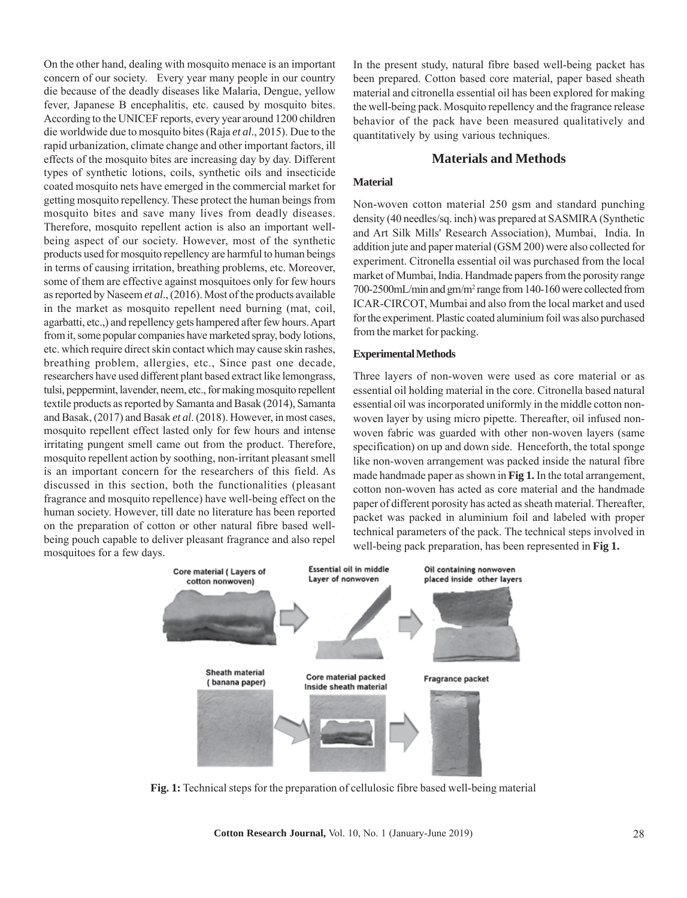On the other hand, dealing with mosquito menace is an important concern of our society. Every year many people in our country die because of the deadly diseases like Malaria, Dengue, yellow fever, Japanese B encephalitis, etc. caused by mosquito bites. According to the UNICEF reports, every year around 1200 children die worldwide due to mosquito bites (Raja *et al*., 2015). Due to the rapid urbanization, climate change and other important factors, ill effects of the mosquito bites are increasing day by day. Different types of synthetic lotions, coils, synthetic oils and insecticide coated mosquito nets have emerged in the commercial market for getting mosquito repellency. These protect the human beings from mosquito bites and save many lives from deadly diseases. Therefore, mosquito repellent action is also an important wellbeing aspect of our society. However, most of the synthetic products used for mosquito repellency are harmful to human beings in terms of causing irritation, breathing problems, etc. Moreover, some of them are effective against mosquitoes only for few hours as reported by Naseem *et al*., (2016). Most of the products available in the market as mosquito repellent need burning (mat, coil, agarbatti, etc.,) and repellency gets hampered after few hours. Apart from it, some popular companies have marketed spray, body lotions, etc. which require direct skin contact which may cause skin rashes, breathing problem, allergies, etc., Since past one decade, researchers have used different plant based extract like lemongrass, tulsi, peppermint, lavender, neem, etc., for making mosquito repellent textile products as reported by Samanta and Basak (2014), Samanta and Basak, (2017) and Basak *et al*. (2018). However, in most cases, mosquito repellent effect lasted only for few hours and intense irritating pungent smell came out from the product. Therefore, mosquito repellent action by soothing, non-irritant pleasant smell is an important concern for the researchers of this field. As discussed in this section, both the functionalities (pleasant fragrance and mosquito repellence) have well-being effect on the human society. However, till date no literature has been reported on the preparation of cotton or other natural fibre based wellbeing pouch capable to deliver pleasant fragrance and also repel mosquitoes for a few days.

In the present study, natural fibre based well-being packet has been prepared. Cotton based core material, paper based sheath material and citronella essential oil has been explored for making the well-being pack. Mosquito repellency and the fragrance release behavior of the pack have been measured qualitatively and quantitatively by using various techniques.

## **Materials and Methods**

#### **Material**

Non-woven cotton material 250 gsm and standard punching density (40 needles/sq. inch) was prepared at SASMIRA (Synthetic and Art Silk Mills' Research Association), Mumbai, India. In addition jute and paper material (GSM 200) were also collected for experiment. Citronella essential oil was purchased from the local market of Mumbai, India. Handmade papers from the porosity range 700-2500mL/min and gm/m2 range from 140-160 were collected from ICAR-CIRCOT, Mumbai and also from the local market and used for the experiment. Plastic coated aluminium foil was also purchased from the market for packing.

#### **Experimental Methods**

Three layers of non-woven were used as core material or as essential oil holding material in the core. Citronella based natural essential oil was incorporated uniformly in the middle cotton nonwoven layer by using micro pipette. Thereafter, oil infused nonwoven fabric was guarded with other non-woven layers (same specification) on up and down side. Henceforth, the total sponge like non-woven arrangement was packed inside the natural fibre made handmade paper as shown in **Fig 1.** In the total arrangement, cotton non-woven has acted as core material and the handmade paper of different porosity has acted as sheath material. Thereafter, packet was packed in aluminium foil and labeled with proper technical parameters of the pack. The technical steps involved in well-being pack preparation, has been represented in **Fig 1.**



**Fig. 1:** Technical steps for the preparation of cellulosic fibre based well-being material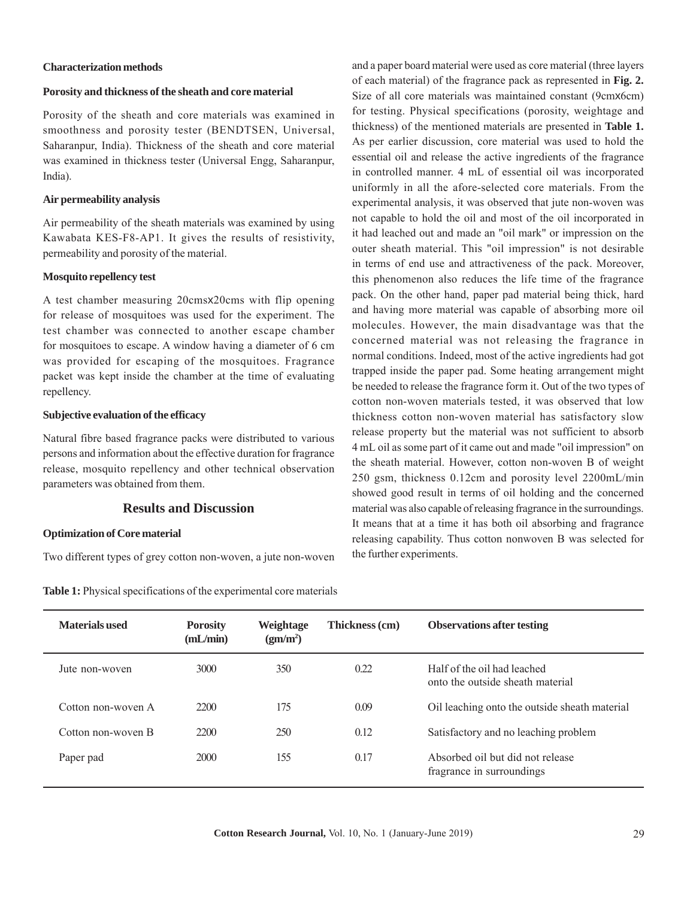#### **Characterization methods**

# **Porosity and thickness of the sheath and core material**

Porosity of the sheath and core materials was examined in smoothness and porosity tester (BENDTSEN, Universal, Saharanpur, India). Thickness of the sheath and core material was examined in thickness tester (Universal Engg, Saharanpur, India).

#### **Air permeability analysis**

Air permeability of the sheath materials was examined by using Kawabata KES-F8-AP1. It gives the results of resistivity, permeability and porosity of the material.

#### **Mosquito repellency test**

A test chamber measuring 20cmsx20cms with flip opening for release of mosquitoes was used for the experiment. The test chamber was connected to another escape chamber for mosquitoes to escape. A window having a diameter of 6 cm was provided for escaping of the mosquitoes. Fragrance packet was kept inside the chamber at the time of evaluating repellency.

#### **Subjective evaluation of the efficacy**

Natural fibre based fragrance packs were distributed to various persons and information about the effective duration for fragrance release, mosquito repellency and other technical observation parameters was obtained from them.

# **Results and Discussion**

## **Optimization of Core material**

Two different types of grey cotton non-woven, a jute non-woven

**Table 1:** Physical specifications of the experimental core materials

and a paper board material were used as core material (three layers of each material) of the fragrance pack as represented in **Fig. 2.** Size of all core materials was maintained constant (9cmx6cm) for testing. Physical specifications (porosity, weightage and thickness) of the mentioned materials are presented in **Table 1.** As per earlier discussion, core material was used to hold the essential oil and release the active ingredients of the fragrance in controlled manner. 4 mL of essential oil was incorporated uniformly in all the afore-selected core materials. From the experimental analysis, it was observed that jute non-woven was not capable to hold the oil and most of the oil incorporated in it had leached out and made an "oil mark" or impression on the outer sheath material. This "oil impression" is not desirable in terms of end use and attractiveness of the pack. Moreover, this phenomenon also reduces the life time of the fragrance pack. On the other hand, paper pad material being thick, hard and having more material was capable of absorbing more oil molecules. However, the main disadvantage was that the concerned material was not releasing the fragrance in normal conditions. Indeed, most of the active ingredients had got trapped inside the paper pad. Some heating arrangement might be needed to release the fragrance form it. Out of the two types of cotton non-woven materials tested, it was observed that low thickness cotton non-woven material has satisfactory slow release property but the material was not sufficient to absorb 4 mL oil as some part of it came out and made "oil impression" on the sheath material. However, cotton non-woven B of weight 250 gsm, thickness 0.12cm and porosity level 2200mL/min showed good result in terms of oil holding and the concerned material was also capable of releasing fragrance in the surroundings. It means that at a time it has both oil absorbing and fragrance releasing capability. Thus cotton nonwoven B was selected for the further experiments.

| Materials used     | <b>Porosity</b><br>mL/min | Weightage<br>(gm/m <sup>2</sup> ) | Thickness (cm) | <b>Observations after testing</b>                               |
|--------------------|---------------------------|-----------------------------------|----------------|-----------------------------------------------------------------|
| Jute non-woven     | 3000                      | 350                               | 0.22           | Half of the oil had leached<br>onto the outside sheath material |
| Cotton non-woven A | 2200                      | 175                               | 0.09           | Oil leaching onto the outside sheath material                   |
| Cotton non-woven B | 2200                      | 250                               | 0.12           | Satisfactory and no leaching problem                            |
| Paper pad          | 2000                      | 155                               | 0.17           | Absorbed oil but did not release<br>fragrance in surroundings   |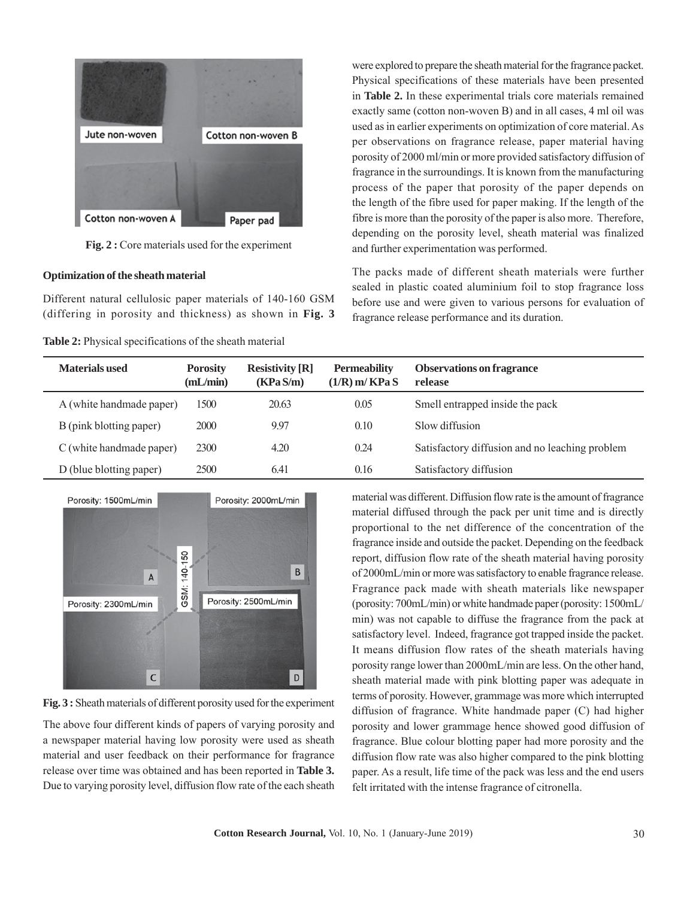

**Fig. 2 :** Core materials used for the experiment

## **Optimization of the sheath material**

Different natural cellulosic paper materials of 140-160 GSM (differing in porosity and thickness) as shown in **Fig. 3**

**Table 2:** Physical specifications of the sheath material

were explored to prepare the sheath material for the fragrance packet. Physical specifications of these materials have been presented in **Table 2.** In these experimental trials core materials remained exactly same (cotton non-woven B) and in all cases, 4 ml oil was used as in earlier experiments on optimization of core material. As per observations on fragrance release, paper material having porosity of 2000 ml/min or more provided satisfactory diffusion of fragrance in the surroundings. It is known from the manufacturing process of the paper that porosity of the paper depends on the length of the fibre used for paper making. If the length of the fibre is more than the porosity of the paper is also more. Therefore, depending on the porosity level, sheath material was finalized and further experimentation was performed.

The packs made of different sheath materials were further sealed in plastic coated aluminium foil to stop fragrance loss before use and were given to various persons for evaluation of fragrance release performance and its duration.

| <b>Materials used</b>    | <b>Porosity</b><br>(mL/min) | <b>Resistivity</b> [ <b>R</b> ]<br>(KPa S/m) | <b>Permeability</b><br>$(1/R)$ m/KPa S | <b>Observations on fragrance</b><br>release    |
|--------------------------|-----------------------------|----------------------------------------------|----------------------------------------|------------------------------------------------|
| A (white handmade paper) | 1500                        | 20.63                                        | 0.05                                   | Smell entrapped inside the pack                |
| B (pink blotting paper)  | 2000                        | 9.97                                         | 0.10                                   | Slow diffusion                                 |
| C (white handmade paper) | <b>2300</b>                 | 4.20                                         | 0.24                                   | Satisfactory diffusion and no leaching problem |
| D (blue blotting paper)  | <b>2500</b>                 | 6.41                                         | 0.16                                   | Satisfactory diffusion                         |



**Fig. 3 :** Sheath materials of different porosity used for the experiment

The above four different kinds of papers of varying porosity and a newspaper material having low porosity were used as sheath material and user feedback on their performance for fragrance release over time was obtained and has been reported in **Table 3.** Due to varying porosity level, diffusion flow rate of the each sheath material was different. Diffusion flow rate is the amount of fragrance material diffused through the pack per unit time and is directly proportional to the net difference of the concentration of the fragrance inside and outside the packet. Depending on the feedback report, diffusion flow rate of the sheath material having porosity of 2000mL/min or more was satisfactory to enable fragrance release. Fragrance pack made with sheath materials like newspaper (porosity: 700mL/min) or white handmade paper (porosity: 1500mL/ min) was not capable to diffuse the fragrance from the pack at satisfactory level. Indeed, fragrance got trapped inside the packet. It means diffusion flow rates of the sheath materials having porosity range lower than 2000mL/min are less. On the other hand, sheath material made with pink blotting paper was adequate in terms of porosity. However, grammage was more which interrupted diffusion of fragrance. White handmade paper (C) had higher porosity and lower grammage hence showed good diffusion of fragrance. Blue colour blotting paper had more porosity and the diffusion flow rate was also higher compared to the pink blotting paper. As a result, life time of the pack was less and the end users felt irritated with the intense fragrance of citronella.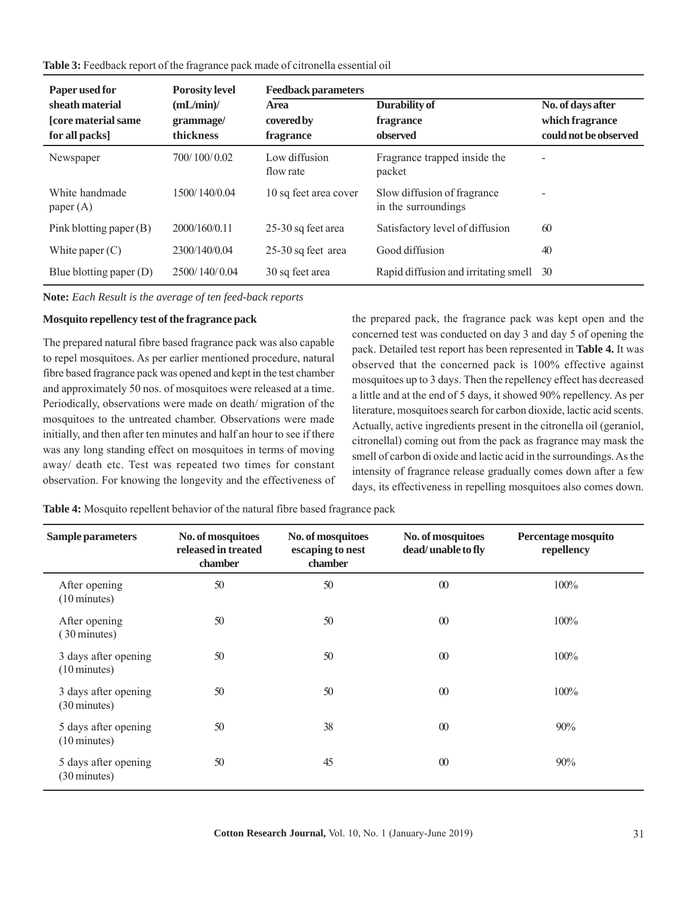**Table 3:** Feedback report of the fragrance pack made of citronella essential oil

| Paper used for                | <b>Porosity level</b> | <b>Feedback parameters</b> |                                                    |                       |  |
|-------------------------------|-----------------------|----------------------------|----------------------------------------------------|-----------------------|--|
| sheath material               | (mL/min)              | <b>Area</b>                | Durability of                                      | No. of days after     |  |
| <b>[core material same</b>    | grammage/             | covered by                 | fragrance                                          | which fragrance       |  |
| for all packs]                | thickness             | fragrance                  | observed                                           | could not be observed |  |
| Newspaper                     | 700/100/0.02          | Low diffusion<br>flow rate | Fragrance trapped inside the<br>packet             |                       |  |
| White handmade<br>paper $(A)$ | 1500/140/0.04         | 10 sq feet area cover      | Slow diffusion of fragrance<br>in the surroundings |                       |  |
| Pink blotting paper (B)       | 2000/160/0.11         | 25-30 sq feet area         | Satisfactory level of diffusion                    | 60                    |  |
| White paper $(C)$             | 2300/140/0.04         | 25-30 sq feet area         | Good diffusion                                     | 40                    |  |
| Blue blotting paper $(D)$     | 2500/140/0.04         | 30 sq feet area            | Rapid diffusion and irritating smell               | 30                    |  |

**Note:** *Each Result is the average of ten feed-back reports*

#### **Mosquito repellency test of the fragrance pack**

The prepared natural fibre based fragrance pack was also capable to repel mosquitoes. As per earlier mentioned procedure, natural fibre based fragrance pack was opened and kept in the test chamber and approximately 50 nos. of mosquitoes were released at a time. Periodically, observations were made on death/ migration of the mosquitoes to the untreated chamber. Observations were made initially, and then after ten minutes and half an hour to see if there was any long standing effect on mosquitoes in terms of moving away/ death etc. Test was repeated two times for constant observation. For knowing the longevity and the effectiveness of the prepared pack, the fragrance pack was kept open and the concerned test was conducted on day 3 and day 5 of opening the pack. Detailed test report has been represented in **Table 4.** It was observed that the concerned pack is 100% effective against mosquitoes up to 3 days. Then the repellency effect has decreased a little and at the end of 5 days, it showed 90% repellency. As per literature, mosquitoes search for carbon dioxide, lactic acid scents. Actually, active ingredients present in the citronella oil (geraniol, citronellal) coming out from the pack as fragrance may mask the smell of carbon di oxide and lactic acid in the surroundings. As the intensity of fragrance release gradually comes down after a few days, its effectiveness in repelling mosquitoes also comes down.

**Table 4:** Mosquito repellent behavior of the natural fibre based fragrance pack

| <b>Sample parameters</b>                       | No. of mosquitoes<br>released in treated<br>chamber | No. of mosquitoes<br>escaping to nest<br>chamber | No. of mosquitoes<br>dead/unable to fly | Percentage mosquito<br>repellency |
|------------------------------------------------|-----------------------------------------------------|--------------------------------------------------|-----------------------------------------|-----------------------------------|
| After opening<br>$(10 \text{ minutes})$        | 50                                                  | 50                                               | $\boldsymbol{00}$                       | 100%                              |
| After opening<br>(30 minutes)                  | 50                                                  | 50                                               | $\boldsymbol{00}$                       | 100%                              |
| 3 days after opening<br>$(10 \text{ minutes})$ | 50                                                  | 50                                               | $\boldsymbol{00}$                       | 100%                              |
| 3 days after opening<br>$(30 \text{ minutes})$ | 50                                                  | 50                                               | $\boldsymbol{00}$                       | 100%                              |
| 5 days after opening<br>$(10 \text{ minutes})$ | 50                                                  | 38                                               | $\omega$                                | 90%                               |
| 5 days after opening<br>$(30 \text{ minutes})$ | 50                                                  | 45                                               | $\boldsymbol{00}$                       | 90%                               |